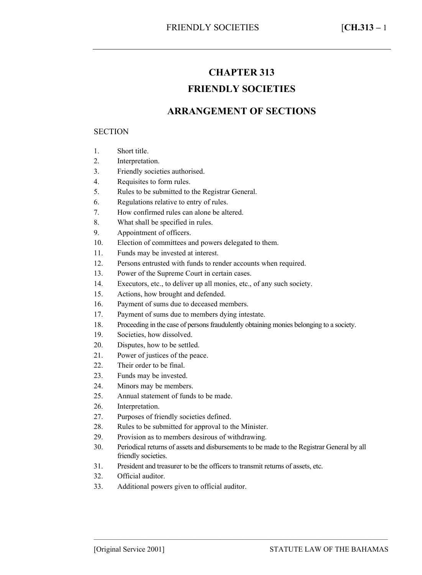# **CHAPTER 313**

# **FRIENDLY SOCIETIES**

# **ARRANGEMENT OF SECTIONS**

#### **SECTION**

- 1. Short title.
- 2. Interpretation.
- 3. Friendly societies authorised.
- 4. Requisites to form rules.
- 5. Rules to be submitted to the Registrar General.
- 6. Regulations relative to entry of rules.
- 7. How confirmed rules can alone be altered.
- 8. What shall be specified in rules.
- 9. Appointment of officers.
- 10. Election of committees and powers delegated to them.
- 11. Funds may be invested at interest.
- 12. Persons entrusted with funds to render accounts when required.
- 13. Power of the Supreme Court in certain cases.
- 14. Executors, etc., to deliver up all monies, etc., of any such society.
- 15. Actions, how brought and defended.
- 16. Payment of sums due to deceased members.
- 17. Payment of sums due to members dying intestate.
- 18. Proceeding in the case of persons fraudulently obtaining monies belonging to a society.
- 19. Societies, how dissolved.
- 20. Disputes, how to be settled.
- 21. Power of justices of the peace.
- 22. Their order to be final.
- 23. Funds may be invested.
- 24. Minors may be members.
- 25. Annual statement of funds to be made.
- 26. Interpretation.
- 27. Purposes of friendly societies defined.
- 28. Rules to be submitted for approval to the Minister.
- 29. Provision as to members desirous of withdrawing.
- 30. Periodical returns of assets and disbursements to be made to the Registrar General by all friendly societies.

–––––––––––––––––––––––––––––––––––––––––––––––––––––––––––––––––––––––––––––––

- 31. President and treasurer to be the officers to transmit returns of assets, etc.
- 32. Official auditor.
- 33. Additional powers given to official auditor.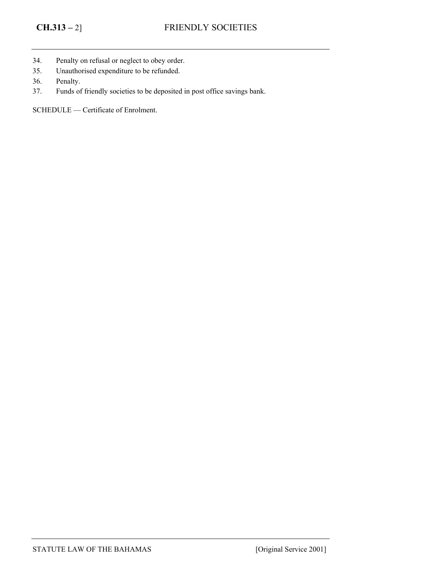- 34. Penalty on refusal or neglect to obey order.
- 35. Unauthorised expenditure to be refunded.
- 36. Penalty.
- 37. Funds of friendly societies to be deposited in post office savings bank.

SCHEDULE — Certificate of Enrolment.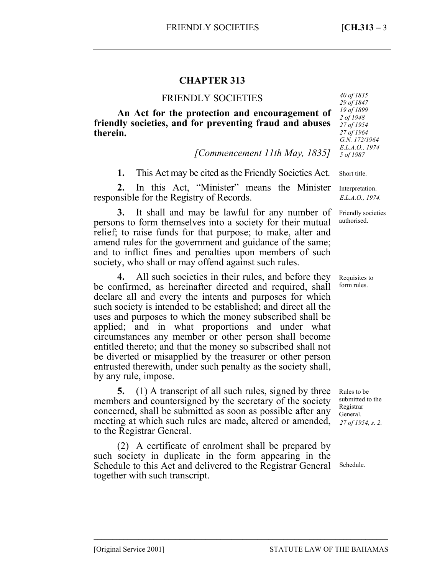## **CHAPTER 313**

### FRIENDLY SOCIETIES

**An Act for the protection and encouragement of friendly societies, and for preventing fraud and abuses**  *27 of 1954*  **therein.** 

*[Commencement 11th May, 1835]* 

**1.** This Act may be cited as the Friendly Societies Act.

**2.** In this Act, "Minister" means the Minister responsible for the Registry of Records.

**3.** It shall and may be lawful for any number of persons to form themselves into a society for their mutual relief; to raise funds for that purpose; to make, alter and amend rules for the government and guidance of the same; and to inflict fines and penalties upon members of such society, who shall or may offend against such rules.

**4.** All such societies in their rules, and before they be confirmed, as hereinafter directed and required, shall declare all and every the intents and purposes for which such society is intended to be established; and direct all the uses and purposes to which the money subscribed shall be applied; and in what proportions and under what circumstances any member or other person shall become entitled thereto; and that the money so subscribed shall not be diverted or misapplied by the treasurer or other person entrusted therewith, under such penalty as the society shall, by any rule, impose.

**5.** (1) A transcript of all such rules, signed by three members and countersigned by the secretary of the society concerned, shall be submitted as soon as possible after any meeting at which such rules are made, altered or amended, to the Registrar General.

(2) A certificate of enrolment shall be prepared by such society in duplicate in the form appearing in the Schedule to this Act and delivered to the Registrar General together with such transcript.

–––––––––––––––––––––––––––––––––––––––––––––––––––––––––––––––––––––––––––––––

*40 of 1835 29 of 1847 19 of 1899 2 of 1948 27 of 1964 G.N. 172/1964 E.L.A.O., 1974 5 of 1987*

Short title.

Interpretation. *E.L.A.O., 1974.* 

Friendly societies authorised.

Requisites to form rules.

Rules to be submitted to the Registrar General. *27 of 1954, s. 2.* 

Schedule.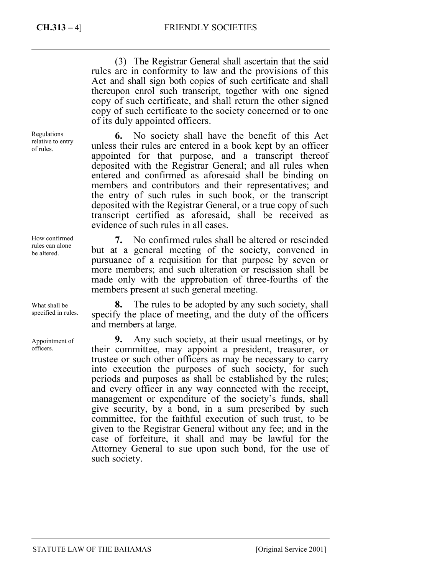(3) The Registrar General shall ascertain that the said rules are in conformity to law and the provisions of this Act and shall sign both copies of such certificate and shall thereupon enrol such transcript, together with one signed copy of such certificate, and shall return the other signed copy of such certificate to the society concerned or to one of its duly appointed officers.

**6.** No society shall have the benefit of this Act unless their rules are entered in a book kept by an officer appointed for that purpose, and a transcript thereof deposited with the Registrar General; and all rules when entered and confirmed as aforesaid shall be binding on members and contributors and their representatives; and the entry of such rules in such book, or the transcript deposited with the Registrar General, or a true copy of such transcript certified as aforesaid, shall be received as evidence of such rules in all cases.

**7.** No confirmed rules shall be altered or rescinded but at a general meeting of the society, convened in pursuance of a requisition for that purpose by seven or more members; and such alteration or rescission shall be made only with the approbation of three-fourths of the members present at such general meeting.

**8.** The rules to be adopted by any such society, shall specify the place of meeting, and the duty of the officers and members at large.

**9.** Any such society, at their usual meetings, or by their committee, may appoint a president, treasurer, or trustee or such other officers as may be necessary to carry into execution the purposes of such society, for such periods and purposes as shall be established by the rules; and every officer in any way connected with the receipt, management or expenditure of the society's funds, shall give security, by a bond, in a sum prescribed by such committee, for the faithful execution of such trust, to be given to the Registrar General without any fee; and in the case of forfeiture, it shall and may be lawful for the Attorney General to sue upon such bond, for the use of such society.

Regulations relative to entry of rules.

How confirmed rules can alone be altered.

What shall be specified in rules.

Appointment of officers.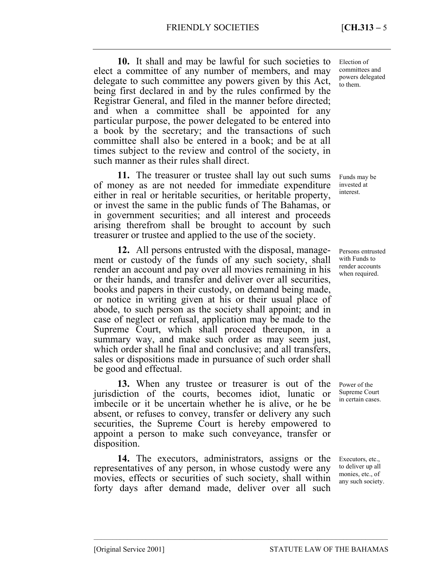**10.** It shall and may be lawful for such societies to elect a committee of any number of members, and may delegate to such committee any powers given by this Act, being first declared in and by the rules confirmed by the Registrar General, and filed in the manner before directed; and when a committee shall be appointed for any particular purpose, the power delegated to be entered into a book by the secretary; and the transactions of such committee shall also be entered in a book; and be at all times subject to the review and control of the society, in such manner as their rules shall direct.

**11.** The treasurer or trustee shall lay out such sums of money as are not needed for immediate expenditure either in real or heritable securities, or heritable property, or invest the same in the public funds of The Bahamas, or in government securities; and all interest and proceeds arising therefrom shall be brought to account by such treasurer or trustee and applied to the use of the society.

**12.** All persons entrusted with the disposal, management or custody of the funds of any such society, shall render an account and pay over all movies remaining in his or their hands, and transfer and deliver over all securities, books and papers in their custody, on demand being made, or notice in writing given at his or their usual place of abode, to such person as the society shall appoint; and in case of neglect or refusal, application may be made to the Supreme Court, which shall proceed thereupon, in a summary way, and make such order as may seem just, which order shall he final and conclusive; and all transfers, sales or dispositions made in pursuance of such order shall be good and effectual.

**13.** When any trustee or treasurer is out of the jurisdiction of the courts, becomes idiot, lunatic or imbecile or it be uncertain whether he is alive, or he be absent, or refuses to convey, transfer or delivery any such securities, the Supreme Court is hereby empowered to appoint a person to make such conveyance, transfer or disposition.

**14.** The executors, administrators, assigns or the representatives of any person, in whose custody were any movies, effects or securities of such society, shall within forty days after demand made, deliver over all such

–––––––––––––––––––––––––––––––––––––––––––––––––––––––––––––––––––––––––––––––

Election of committees and powers delegated to them.

Funds may be invested at interest.

Persons entrusted with Funds to render accounts when required.

Power of the Supreme Court in certain cases.

Executors, etc., to deliver up all monies, etc., of any such society.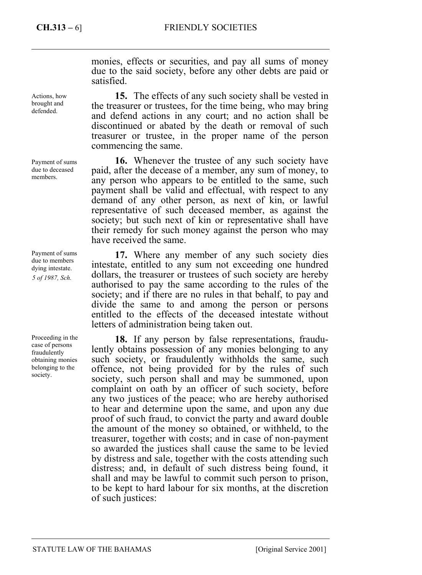Actions, how brought and defended.

Payment of sums due to deceased members.

Payment of sums due to members dying intestate. *5 of 1987, Sch.* 

Proceeding in the case of persons fraudulently obtaining monies belonging to the society.

monies, effects or securities, and pay all sums of money due to the said society, before any other debts are paid or satisfied.

**15.** The effects of any such society shall be vested in the treasurer or trustees, for the time being, who may bring and defend actions in any court; and no action shall be discontinued or abated by the death or removal of such treasurer or trustee, in the proper name of the person commencing the same.

**16.** Whenever the trustee of any such society have paid, after the decease of a member, any sum of money, to any person who appears to be entitled to the same, such payment shall be valid and effectual, with respect to any demand of any other person, as next of kin, or lawful representative of such deceased member, as against the society; but such next of kin or representative shall have their remedy for such money against the person who may have received the same.

**17.** Where any member of any such society dies intestate, entitled to any sum not exceeding one hundred dollars, the treasurer or trustees of such society are hereby authorised to pay the same according to the rules of the society; and if there are no rules in that behalf, to pay and divide the same to and among the person or persons entitled to the effects of the deceased intestate without letters of administration being taken out.

**18.** If any person by false representations, fraudulently obtains possession of any monies belonging to any such society, or fraudulently withholds the same, such offence, not being provided for by the rules of such society, such person shall and may be summoned, upon complaint on oath by an officer of such society, before any two justices of the peace; who are hereby authorised to hear and determine upon the same, and upon any due proof of such fraud, to convict the party and award double the amount of the money so obtained, or withheld, to the treasurer, together with costs; and in case of non-payment so awarded the justices shall cause the same to be levied by distress and sale, together with the costs attending such distress; and, in default of such distress being found, it shall and may be lawful to commit such person to prison, to be kept to hard labour for six months, at the discretion of such justices: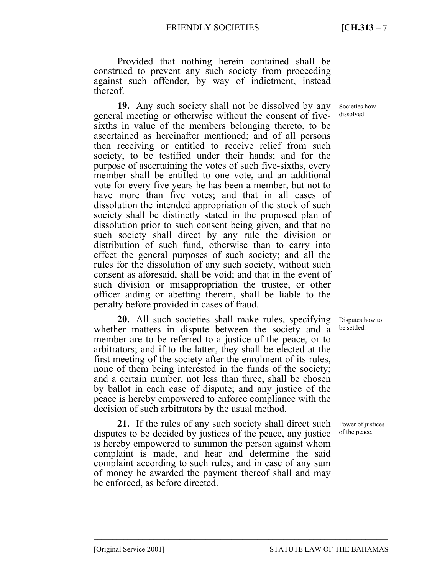Provided that nothing herein contained shall be construed to prevent any such society from proceeding against such offender, by way of indictment, instead thereof.

**19.** Any such society shall not be dissolved by any general meeting or otherwise without the consent of fivesixths in value of the members belonging thereto, to be ascertained as hereinafter mentioned; and of all persons then receiving or entitled to receive relief from such society, to be testified under their hands; and for the purpose of ascertaining the votes of such five-sixths, every member shall be entitled to one vote, and an additional vote for every five years he has been a member, but not to have more than five votes; and that in all cases of dissolution the intended appropriation of the stock of such society shall be distinctly stated in the proposed plan of dissolution prior to such consent being given, and that no such society shall direct by any rule the division or distribution of such fund, otherwise than to carry into effect the general purposes of such society; and all the rules for the dissolution of any such society, without such consent as aforesaid, shall be void; and that in the event of such division or misappropriation the trustee, or other officer aiding or abetting therein, shall be liable to the penalty before provided in cases of fraud.

**20.** All such societies shall make rules, specifying whether matters in dispute between the society and a member are to be referred to a justice of the peace, or to arbitrators; and if to the latter, they shall be elected at the first meeting of the society after the enrolment of its rules, none of them being interested in the funds of the society; and a certain number, not less than three, shall be chosen by ballot in each case of dispute; and any justice of the peace is hereby empowered to enforce compliance with the decision of such arbitrators by the usual method.

**21.** If the rules of any such society shall direct such disputes to be decided by justices of the peace, any justice is hereby empowered to summon the person against whom complaint is made, and hear and determine the said complaint according to such rules; and in case of any sum of money be awarded the payment thereof shall and may be enforced, as before directed.

–––––––––––––––––––––––––––––––––––––––––––––––––––––––––––––––––––––––––––––––

Societies how dissolved.

Disputes how to be settled.

Power of justices of the peace.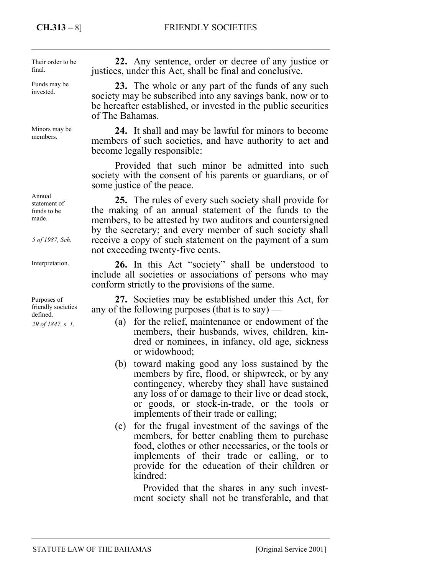**CH.313 –** 8] FRIENDLY SOCIETIES

**22.** Any sentence, order or decree of any justice or justices, under this Act, shall be final and conclusive. **23.** The whole or any part of the funds of any such society may be subscribed into any savings bank, now or to be hereafter established, or invested in the public securities of The Bahamas. **24.** It shall and may be lawful for minors to become members of such societies, and have authority to act and become legally responsible: Provided that such minor be admitted into such society with the consent of his parents or guardians, or of some justice of the peace. **25.** The rules of every such society shall provide for the making of an annual statement of the funds to the members, to be attested by two auditors and countersigned by the secretary; and every member of such society shall receive a copy of such statement on the payment of a sum not exceeding twenty-five cents. **26.** In this Act "society" shall be understood to include all societies or associations of persons who may conform strictly to the provisions of the same. **27.** Societies may be established under this Act, for any of the following purposes (that is to say) — (a) for the relief, maintenance or endowment of the members, their husbands, wives, children, kin-Their order to be final. Funds may be invested. Minors may be members. Annual statement of funds to be made. *5 of 1987, Sch.*  Interpretation. Purposes of friendly societies defined. *29 of 1847, s. 1.* 

> or widowhood; (b) toward making good any loss sustained by the members by fire, flood, or shipwreck, or by any contingency, whereby they shall have sustained any loss of or damage to their live or dead stock, or goods, or stock-in-trade, or the tools or implements of their trade or calling;

dred or nominees, in infancy, old age, sickness

(c) for the frugal investment of the savings of the members, for better enabling them to purchase food, clothes or other necessaries, or the tools or implements of their trade or calling, or to provide for the education of their children or kindred:

Provided that the shares in any such investment society shall not be transferable, and that

STATUTE LAW OF THE BAHAMAS [Original Service 2001]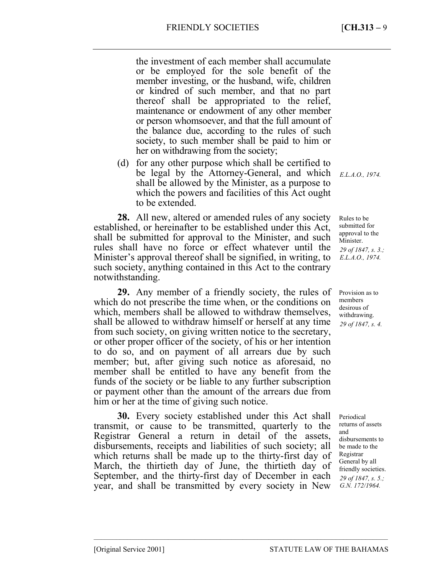the investment of each member shall accumulate or be employed for the sole benefit of the member investing, or the husband, wife, children or kindred of such member, and that no part thereof shall be appropriated to the relief, maintenance or endowment of any other member or person whomsoever, and that the full amount of the balance due, according to the rules of such society, to such member shall be paid to him or her on withdrawing from the society;

(d) for any other purpose which shall be certified to be legal by the Attorney-General, and which shall be allowed by the Minister, as a purpose to which the powers and facilities of this Act ought to be extended.

**28.** All new, altered or amended rules of any society established, or hereinafter to be established under this Act, shall be submitted for approval to the Minister, and such rules shall have no force or effect whatever until the Minister's approval thereof shall be signified, in writing, to such society, anything contained in this Act to the contrary notwithstanding.

**29.** Any member of a friendly society, the rules of which do not prescribe the time when, or the conditions on which, members shall be allowed to withdraw themselves, shall be allowed to withdraw himself or herself at any time from such society, on giving written notice to the secretary, or other proper officer of the society, of his or her intention to do so, and on payment of all arrears due by such member; but, after giving such notice as aforesaid, no member shall be entitled to have any benefit from the funds of the society or be liable to any further subscription or payment other than the amount of the arrears due from him or her at the time of giving such notice.

**30.** Every society established under this Act shall transmit, or cause to be transmitted, quarterly to the Registrar General a return in detail of the assets, disbursements, receipts and liabilities of such society; all which returns shall be made up to the thirty-first day of March, the thirtieth day of June, the thirtieth day of September, and the thirty-first day of December in each year, and shall be transmitted by every society in New

–––––––––––––––––––––––––––––––––––––––––––––––––––––––––––––––––––––––––––––––

*E.L.A.O., 1974.* 

Rules to be submitted for approval to the Minister. *29 of 1847, s. 3.; E.L.A.O., 1974.* 

Provision as to members desirous of withdrawing. *29 of 1847, s. 4.* 

Periodical returns of assets and disbursements to be made to the Registrar General by all friendly societies. *29 of 1847, s. 5.; G.N. 172/1964.*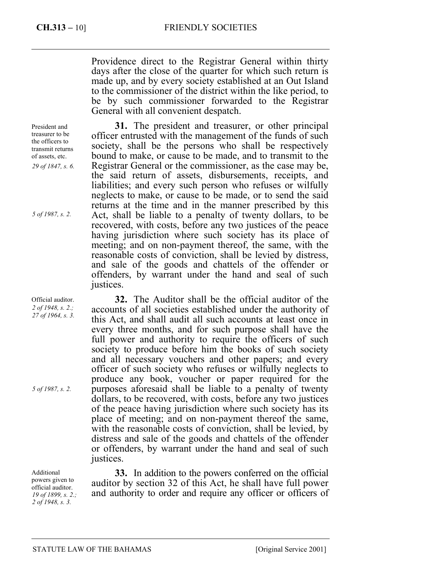Providence direct to the Registrar General within thirty days after the close of the quarter for which such return is made up, and by every society established at an Out Island to the commissioner of the district within the like period, to be by such commissioner forwarded to the Registrar General with all convenient despatch.

**31.** The president and treasurer, or other principal officer entrusted with the management of the funds of such society, shall be the persons who shall be respectively bound to make, or cause to be made, and to transmit to the Registrar General or the commissioner, as the case may be, the said return of assets, disbursements, receipts, and liabilities; and every such person who refuses or wilfully neglects to make, or cause to be made, or to send the said returns at the time and in the manner prescribed by this Act, shall be liable to a penalty of twenty dollars, to be recovered, with costs, before any two justices of the peace having jurisdiction where such society has its place of meeting; and on non-payment thereof, the same, with the reasonable costs of conviction, shall be levied by distress, and sale of the goods and chattels of the offender or offenders, by warrant under the hand and seal of such justices.

**32.** The Auditor shall be the official auditor of the accounts of all societies established under the authority of this Act, and shall audit all such accounts at least once in every three months, and for such purpose shall have the full power and authority to require the officers of such society to produce before him the books of such society and all necessary vouchers and other papers; and every officer of such society who refuses or wilfully neglects to produce any book, voucher or paper required for the purposes aforesaid shall be liable to a penalty of twenty dollars, to be recovered, with costs, before any two justices of the peace having jurisdiction where such society has its place of meeting; and on non-payment thereof the same, with the reasonable costs of conviction, shall be levied, by distress and sale of the goods and chattels of the offender or offenders, by warrant under the hand and seal of such justices.

**33.** In addition to the powers conferred on the official auditor by section 32 of this Act, he shall have full power and authority to order and require any officer or officers of

President and treasurer to be the officers to transmit returns of assets, etc. *29 of 1847, s. 6.* 

*5 of 1987, s. 2.* 

Official auditor. *2 of 1948, s. 2.; 27 of 1964, s. 3.* 

*5 of 1987, s. 2.* 

Additional powers given to official auditor. *19 of 1899, s. 2.; 2 of 1948, s. 3.*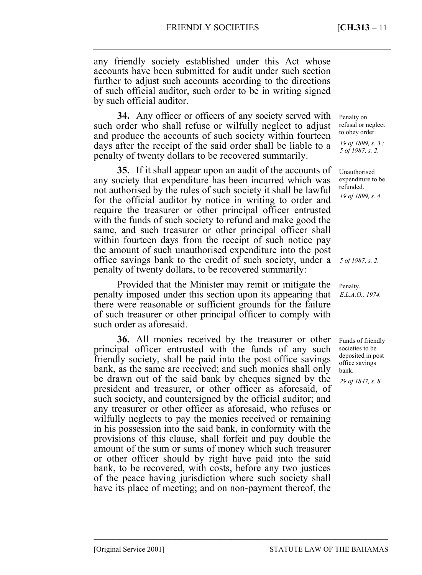any friendly society established under this Act whose accounts have been submitted for audit under such section further to adjust such accounts according to the directions of such official auditor, such order to be in writing signed by such official auditor.

**34.** Any officer or officers of any society served with such order who shall refuse or wilfully neglect to adjust and produce the accounts of such society within fourteen days after the receipt of the said order shall be liable to a penalty of twenty dollars to be recovered summarily.

**35.** If it shall appear upon an audit of the accounts of any society that expenditure has been incurred which was not authorised by the rules of such society it shall be lawful for the official auditor by notice in writing to order and require the treasurer or other principal officer entrusted with the funds of such society to refund and make good the same, and such treasurer or other principal officer shall within fourteen days from the receipt of such notice pay the amount of such unauthorised expenditure into the post office savings bank to the credit of such society, under a penalty of twenty dollars, to be recovered summarily:

Provided that the Minister may remit or mitigate the penalty imposed under this section upon its appearing that there were reasonable or sufficient grounds for the failure of such treasurer or other principal officer to comply with such order as aforesaid.

**36.** All monies received by the treasurer or other principal officer entrusted with the funds of any such friendly society, shall be paid into the post office savings bank, as the same are received; and such monies shall only be drawn out of the said bank by cheques signed by the president and treasurer, or other officer as aforesaid, of such society, and countersigned by the official auditor; and any treasurer or other officer as aforesaid, who refuses or wilfully neglects to pay the monies received or remaining in his possession into the said bank, in conformity with the provisions of this clause, shall forfeit and pay double the amount of the sum or sums of money which such treasurer or other officer should by right have paid into the said bank, to be recovered, with costs, before any two justices of the peace having jurisdiction where such society shall have its place of meeting; and on non-payment thereof, the

–––––––––––––––––––––––––––––––––––––––––––––––––––––––––––––––––––––––––––––––

Penalty on refusal or neglect to obey order.

*19 of 1899, s. 3.; 5 of 1987, s. 2.* 

Unauthorised expenditure to be refunded. *19 of 1899, s. 4.* 

*5 of 1987, s. 2.* 

Penalty. *E.L.A.O., 1974.* 

Funds of friendly societies to be deposited in post office savings bank.

*29 of 1847, s. 8.*